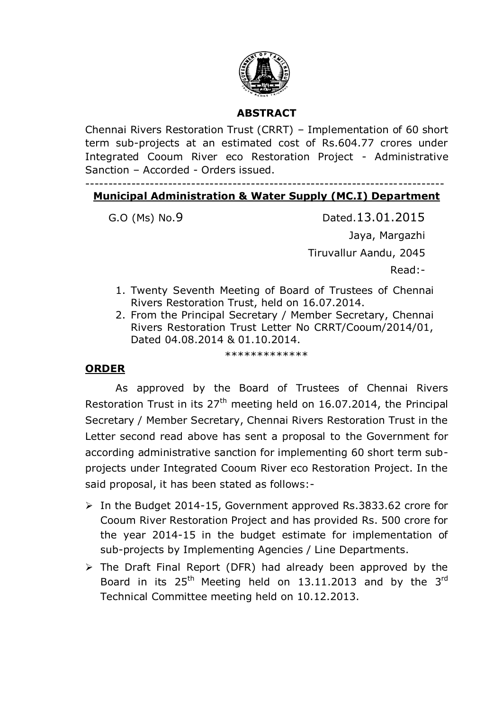

# **ABSTRACT**

Chennai Rivers Restoration Trust (CRRT) – Implementation of 60 short term sub-projects at an estimated cost of Rs.604.77 crores under Integrated Cooum River eco Restoration Project - Administrative Sanction – Accorded - Orders issued.

#### ------------------------------------------------------------------------------ **Municipal Administration & Water Supply (MC.I) Department**

G.O (Ms) No.9 Dated.13.01.2015 Jaya, Margazhi Tiruvallur Aandu, 2045 Read:-

- 1. Twenty Seventh Meeting of Board of Trustees of Chennai Rivers Restoration Trust, held on 16.07.2014.
- 2. From the Principal Secretary / Member Secretary, Chennai Rivers Restoration Trust Letter No CRRT/Cooum/2014/01, Dated 04.08.2014 & 01.10.2014.

\*\*\*\*\*\*\*\*\*\*\*\*\*

#### **ORDER**

As approved by the Board of Trustees of Chennai Rivers Restoration Trust in its  $27<sup>th</sup>$  meeting held on 16.07.2014, the Principal Secretary / Member Secretary, Chennai Rivers Restoration Trust in the Letter second read above has sent a proposal to the Government for according administrative sanction for implementing 60 short term subprojects under Integrated Cooum River eco Restoration Project. In the said proposal, it has been stated as follows:-

- In the Budget 2014-15, Government approved Rs.3833.62 crore for Cooum River Restoration Project and has provided Rs. 500 crore for the year 2014-15 in the budget estimate for implementation of sub-projects by Implementing Agencies / Line Departments.
- $\triangleright$  The Draft Final Report (DFR) had already been approved by the Board in its  $25<sup>th</sup>$  Meeting held on 13.11.2013 and by the  $3<sup>rd</sup>$ Technical Committee meeting held on 10.12.2013.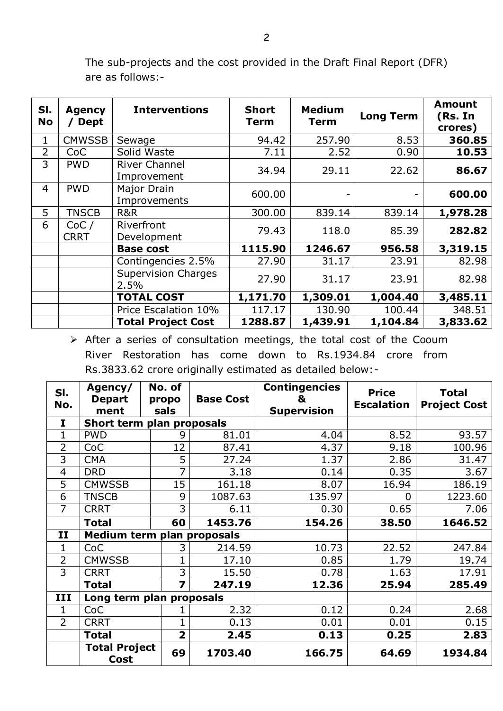| SI.<br><b>No</b> | <b>Agency</b><br><b>Dept</b> | <b>Interventions</b>                | <b>Short</b><br><b>Term</b> | <b>Medium</b><br><b>Term</b> | <b>Long Term</b> | <b>Amount</b><br>(Rs. In<br>crores) |
|------------------|------------------------------|-------------------------------------|-----------------------------|------------------------------|------------------|-------------------------------------|
| 1                | <b>CMWSSB</b>                | Sewage                              | 94.42                       | 257.90                       | 8.53             | 360.85                              |
| 2                | <b>CoC</b>                   | Solid Waste                         | 7.11                        | 2.52                         | 0.90             | 10.53                               |
| 3                | <b>PWD</b>                   | <b>River Channel</b><br>Improvement | 34.94                       | 29.11                        | 22.62            | 86.67                               |
| $\overline{4}$   | <b>PWD</b>                   | Major Drain<br>Improvements         | 600.00                      |                              |                  | 600.00                              |
| 5                | <b>TNSCB</b>                 | R&R                                 | 300.00                      | 839.14                       | 839.14           | 1,978.28                            |
| 6                | CoC/<br><b>CRRT</b>          | Riverfront<br>Development           | 79.43                       | 118.0                        | 85.39            | 282.82                              |
|                  |                              | <b>Base cost</b>                    | 1115.90                     | 1246.67                      | 956.58           | 3,319.15                            |
|                  |                              | Contingencies 2.5%                  | 27.90                       | 31.17                        | 23.91            | 82.98                               |
|                  |                              | <b>Supervision Charges</b><br>2.5%  | 27.90                       | 31.17                        | 23.91            | 82.98                               |
|                  |                              | <b>TOTAL COST</b>                   | 1,171.70                    | 1,309.01                     | 1,004.40         | 3,485.11                            |
|                  |                              | Price Escalation 10%                | 117.17                      | 130.90                       | 100.44           | 348.51                              |
|                  |                              | <b>Total Project Cost</b>           | 1288.87                     | 1,439.91                     | 1,104.84         | 3,833.62                            |

The sub-projects and the cost provided in the Draft Final Report (DFR) are as follows:-

 $\triangleright$  After a series of consultation meetings, the total cost of the Cooum River Restoration has come down to Rs.1934.84 crore from Rs.3833.62 crore originally estimated as detailed below:-

| SI.<br>No.     | Agency/<br><b>Depart</b><br>ment | No. of<br>propo<br>sals | <b>Base Cost</b> | <b>Contingencies</b><br>&<br><b>Supervision</b> | <b>Price</b><br><b>Escalation</b> | <b>Total</b><br><b>Project Cost</b> |
|----------------|----------------------------------|-------------------------|------------------|-------------------------------------------------|-----------------------------------|-------------------------------------|
| I              | Short term plan proposals        |                         |                  |                                                 |                                   |                                     |
| $\mathbf{1}$   | <b>PWD</b>                       | 9                       | 81.01            | 4.04                                            | 8.52                              | 93.57                               |
| 2              | CoC                              | 12                      | 87.41            | 4.37                                            | 9.18                              | 100.96                              |
| 3              | <b>CMA</b>                       | 5                       | 27.24            | 1.37                                            | 2.86                              | 31.47                               |
| $\overline{4}$ | <b>DRD</b>                       | 7                       | 3.18             | 0.14                                            | 0.35                              | 3.67                                |
| 5              | <b>CMWSSB</b>                    | 15                      | 161.18           | 8.07                                            | 16.94                             | 186.19                              |
| 6              | <b>TNSCB</b>                     | 9                       | 1087.63          | 135.97                                          | 0                                 | 1223.60                             |
| 7              | <b>CRRT</b>                      | 3                       | 6.11             | 0.30                                            | 0.65                              | 7.06                                |
|                | <b>Total</b>                     | 60                      | 1453.76          | 154.26                                          | 38.50                             | 1646.52                             |
| 11             | Medium term plan proposals       |                         |                  |                                                 |                                   |                                     |
| 1              | <b>CoC</b>                       | 3                       | 214.59           | 10.73                                           | 22.52                             | 247.84                              |
| $\overline{2}$ | <b>CMWSSB</b>                    | 1                       | 17.10            | 0.85                                            | 1.79                              | 19.74                               |
| 3              | <b>CRRT</b>                      | 3                       | 15.50            | 0.78                                            | 1.63                              | 17.91                               |
|                | <b>Total</b>                     | $\overline{\mathbf{z}}$ | 247.19           | 12.36                                           | 25.94                             | 285.49                              |
| III            | Long term plan proposals         |                         |                  |                                                 |                                   |                                     |
| 1              | CoC                              |                         | 2.32             | 0.12                                            | 0.24                              | 2.68                                |
| $\overline{2}$ | <b>CRRT</b>                      | $\mathbf{1}$            | 0.13             | 0.01                                            | 0.01                              | 0.15                                |
|                | <b>Total</b>                     | $\overline{2}$          | 2.45             | 0.13                                            | 0.25                              | 2.83                                |
|                | <b>Total Project</b><br>Cost     | 69                      | 1703.40          | 166.75                                          | 64.69                             | 1934.84                             |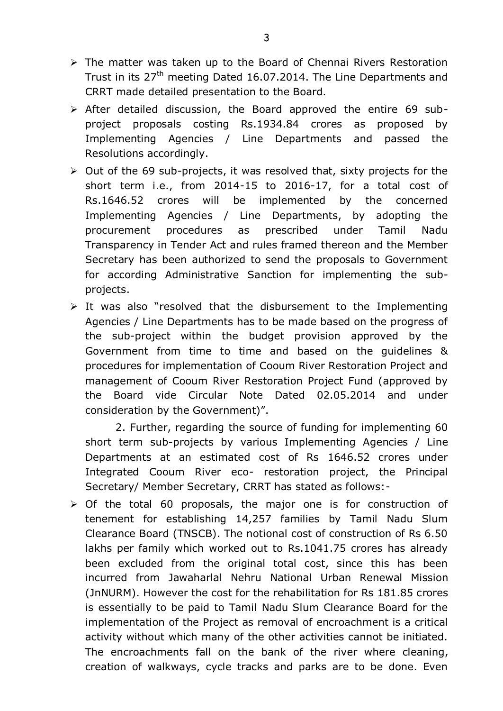- $\triangleright$  The matter was taken up to the Board of Chennai Rivers Restoration Trust in its 27<sup>th</sup> meeting Dated 16.07.2014. The Line Departments and CRRT made detailed presentation to the Board.
- $\triangleright$  After detailed discussion, the Board approved the entire 69 subproject proposals costing Rs.1934.84 crores as proposed by Implementing Agencies / Line Departments and passed the Resolutions accordingly.
- $\triangleright$  Out of the 69 sub-projects, it was resolved that, sixty projects for the short term i.e., from 2014-15 to 2016-17, for a total cost of Rs.1646.52 crores will be implemented by the concerned Implementing Agencies / Line Departments, by adopting the procurement procedures as prescribed under Tamil Nadu Transparency in Tender Act and rules framed thereon and the Member Secretary has been authorized to send the proposals to Government for according Administrative Sanction for implementing the subprojects.
- $\triangleright$  It was also "resolved that the disbursement to the Implementing Agencies / Line Departments has to be made based on the progress of the sub-project within the budget provision approved by the Government from time to time and based on the guidelines & procedures for implementation of Cooum River Restoration Project and management of Cooum River Restoration Project Fund (approved by the Board vide Circular Note Dated 02.05.2014 and under consideration by the Government)".

2. Further, regarding the source of funding for implementing 60 short term sub-projects by various Implementing Agencies / Line Departments at an estimated cost of Rs 1646.52 crores under Integrated Cooum River eco- restoration project, the Principal Secretary/ Member Secretary, CRRT has stated as follows:-

 $\triangleright$  Of the total 60 proposals, the major one is for construction of tenement for establishing 14,257 families by Tamil Nadu Slum Clearance Board (TNSCB). The notional cost of construction of Rs 6.50 lakhs per family which worked out to Rs.1041.75 crores has already been excluded from the original total cost, since this has been incurred from Jawaharlal Nehru National Urban Renewal Mission (JnNURM). However the cost for the rehabilitation for Rs 181.85 crores is essentially to be paid to Tamil Nadu Slum Clearance Board for the implementation of the Project as removal of encroachment is a critical activity without which many of the other activities cannot be initiated. The encroachments fall on the bank of the river where cleaning, creation of walkways, cycle tracks and parks are to be done. Even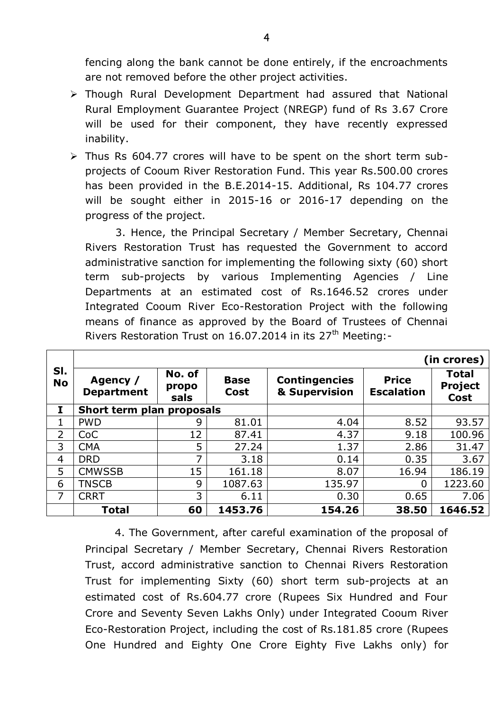fencing along the bank cannot be done entirely, if the encroachments are not removed before the other project activities.

- Though Rural Development Department had assured that National Rural Employment Guarantee Project (NREGP) fund of Rs 3.67 Crore will be used for their component, they have recently expressed inability.
- $\triangleright$  Thus Rs 604.77 crores will have to be spent on the short term subprojects of Cooum River Restoration Fund. This year Rs.500.00 crores has been provided in the B.E.2014-15. Additional, Rs 104.77 crores will be sought either in 2015-16 or 2016-17 depending on the progress of the project.

3. Hence, the Principal Secretary / Member Secretary, Chennai Rivers Restoration Trust has requested the Government to accord administrative sanction for implementing the following sixty (60) short term sub-projects by various Implementing Agencies / Line Departments at an estimated cost of Rs.1646.52 crores under Integrated Cooum River Eco-Restoration Project with the following means of finance as approved by the Board of Trustees of Chennai Rivers Restoration Trust on  $16.07.2014$  in its  $27<sup>th</sup>$  Meeting:-

|                  | (in crores)                   |                         |                     |                                       |                                   |                                        |  |
|------------------|-------------------------------|-------------------------|---------------------|---------------------------------------|-----------------------------------|----------------------------------------|--|
| SI.<br><b>No</b> | Agency /<br><b>Department</b> | No. of<br>propo<br>sals | <b>Base</b><br>Cost | <b>Contingencies</b><br>& Supervision | <b>Price</b><br><b>Escalation</b> | <b>Total</b><br><b>Project</b><br>Cost |  |
| I                | Short term plan proposals     |                         |                     |                                       |                                   |                                        |  |
| 1                | <b>PWD</b>                    | 9                       | 81.01               | 4.04                                  | 8.52                              | 93.57                                  |  |
| $\overline{2}$   | CoC                           | 12                      | 87.41               | 4.37                                  | 9.18                              | 100.96                                 |  |
| 3                | <b>CMA</b>                    | 5                       | 27.24               | 1.37                                  | 2.86                              | 31.47                                  |  |
| $\overline{4}$   | <b>DRD</b>                    | ⇁                       | 3.18                | 0.14                                  | 0.35                              | 3.67                                   |  |
| 5                | <b>CMWSSB</b>                 | 15                      | 161.18              | 8.07                                  | 16.94                             | 186.19                                 |  |
| 6                | TNSCB                         | 9                       | 1087.63             | 135.97                                | $\Omega$                          | 1223.60                                |  |
| 7                | <b>CRRT</b>                   | 3                       | 6.11                | 0.30                                  | 0.65                              | 7.06                                   |  |
|                  | <b>Total</b>                  | 60                      | 1453.76             | 154.26                                | 38.50                             | 1646.52                                |  |

4. The Government, after careful examination of the proposal of Principal Secretary / Member Secretary, Chennai Rivers Restoration Trust, accord administrative sanction to Chennai Rivers Restoration Trust for implementing Sixty (60) short term sub-projects at an estimated cost of Rs.604.77 crore (Rupees Six Hundred and Four Crore and Seventy Seven Lakhs Only) under Integrated Cooum River Eco-Restoration Project, including the cost of Rs.181.85 crore (Rupees One Hundred and Eighty One Crore Eighty Five Lakhs only) for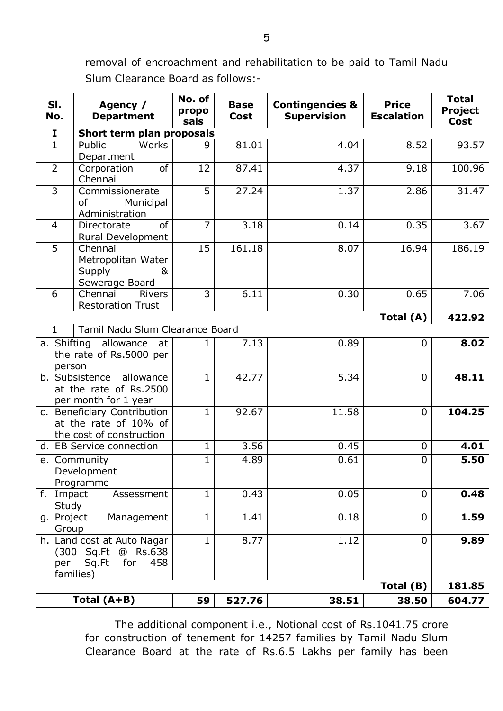removal of encroachment and rehabilitation to be paid to Tamil Nadu Slum Clearance Board as follows:-

| SI.<br>No.                                                                       | Agency /<br><b>Department</b>                                                          | No. of<br>propo<br>sals | <b>Base</b><br><b>Cost</b> | <b>Contingencies &amp;</b><br><b>Supervision</b> | <b>Price</b><br><b>Escalation</b> | <b>Total</b><br><b>Project</b><br>Cost |  |
|----------------------------------------------------------------------------------|----------------------------------------------------------------------------------------|-------------------------|----------------------------|--------------------------------------------------|-----------------------------------|----------------------------------------|--|
| $\mathbf{I}$                                                                     | Short term plan proposals                                                              |                         |                            |                                                  |                                   |                                        |  |
| $\mathbf{1}$                                                                     | Public<br>Works<br>Department                                                          | 9                       | 81.01                      | 4.04                                             | 8.52                              | 93.57                                  |  |
| $\overline{2}$                                                                   | of<br>Corporation<br>Chennai                                                           | 12                      | 87.41                      | 4.37                                             | 9.18                              | 100.96                                 |  |
| $\overline{\mathbf{3}}$                                                          | Commissionerate<br>0f<br>Municipal<br>Administration                                   | $\overline{5}$          | 27.24                      | 1.37                                             | 2.86                              | 31.47                                  |  |
| $\overline{4}$                                                                   | <sub>of</sub><br>Directorate<br>Rural Development                                      | $\overline{7}$          | 3.18                       | 0.14                                             | 0.35                              | 3.67                                   |  |
| $\overline{5}$                                                                   | Chennai<br>Metropolitan Water<br>Supply<br>&<br>Sewerage Board                         | 15                      | 161.18                     | 8.07                                             | 16.94                             | 186.19                                 |  |
| 6                                                                                | Chennai<br><b>Rivers</b><br><b>Restoration Trust</b>                                   | 3                       | 6.11                       | 0.30                                             | 0.65                              | 7.06                                   |  |
|                                                                                  |                                                                                        |                         |                            |                                                  | Total (A)                         | 422.92                                 |  |
| $\mathbf{1}$                                                                     | Tamil Nadu Slum Clearance Board                                                        |                         |                            |                                                  |                                   |                                        |  |
| a. Shifting allowance<br>at<br>the rate of Rs.5000 per<br>person                 |                                                                                        | 1                       | 7.13                       | 0.89                                             | $\mathbf 0$                       | 8.02                                   |  |
| b. Subsistence<br>allowance<br>at the rate of Rs.2500<br>per month for 1 year    |                                                                                        | 1                       | 42.77                      | 5.34                                             | $\mathbf 0$                       | 48.11                                  |  |
| c. Beneficiary Contribution<br>at the rate of 10% of<br>the cost of construction |                                                                                        | 1                       | 92.67                      | 11.58                                            | $\mathbf 0$                       | 104.25                                 |  |
|                                                                                  | 3.56<br>d. EB Service connection<br>1<br>0.45<br>$\mathbf 0$                           |                         | 4.01                       |                                                  |                                   |                                        |  |
| e. Community<br>Development<br>Programme                                         |                                                                                        | 1                       | 4.89                       | 0.61                                             | $\mathbf 0$                       | 5.50                                   |  |
| f. Impact<br>Study                                                               | Assessment                                                                             | $\mathbf{1}$            | 0.43                       | 0.05                                             | $\mathbf 0$                       | 0.48                                   |  |
| g. Project<br>Group                                                              | Management                                                                             | $\mathbf 1$             | 1.41                       | 0.18                                             | $\overline{0}$                    | 1.59                                   |  |
| per                                                                              | h. Land cost at Auto Nagar<br>(300 Sq.Ft @ Rs.638)<br>Sq.Ft<br>for<br>458<br>families) | $\mathbf 1$             | 8.77                       | 1.12                                             | $\overline{0}$                    | 9.89                                   |  |
|                                                                                  |                                                                                        |                         |                            |                                                  | Total (B)                         | 181.85                                 |  |
|                                                                                  | Total (A+B)                                                                            | 59                      | 527.76                     | 38.51                                            | 38.50                             | 604.77                                 |  |

The additional component i.e., Notional cost of Rs.1041.75 crore for construction of tenement for 14257 families by Tamil Nadu Slum Clearance Board at the rate of Rs.6.5 Lakhs per family has been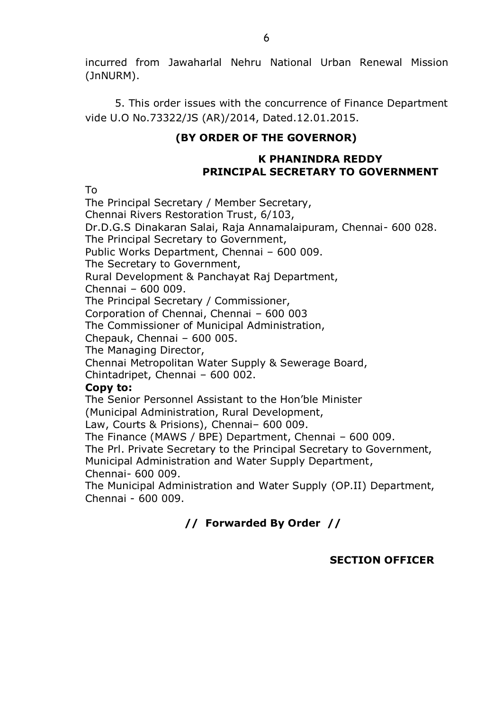incurred from Jawaharlal Nehru National Urban Renewal Mission (JnNURM).

5. This order issues with the concurrence of Finance Department vide U.O No.73322/JS (AR)/2014, Dated.12.01.2015.

### **(BY ORDER OF THE GOVERNOR)**

#### **K PHANINDRA REDDY PRINCIPAL SECRETARY TO GOVERNMENT**

To

The Principal Secretary / Member Secretary, Chennai Rivers Restoration Trust, 6/103, Dr.D.G.S Dinakaran Salai, Raja Annamalaipuram, Chennai- 600 028. The Principal Secretary to Government, Public Works Department, Chennai – 600 009. The Secretary to Government, Rural Development & Panchayat Raj Department, Chennai – 600 009. The Principal Secretary / Commissioner, Corporation of Chennai, Chennai – 600 003 The Commissioner of Municipal Administration, Chepauk, Chennai – 600 005. The Managing Director, Chennai Metropolitan Water Supply & Sewerage Board, Chintadripet, Chennai – 600 002. **Copy to:** The Senior Personnel Assistant to the Hon'ble Minister (Municipal Administration, Rural Development, Law, Courts & Prisions), Chennai– 600 009. The Finance (MAWS / BPE) Department, Chennai – 600 009. The Prl. Private Secretary to the Principal Secretary to Government,

Municipal Administration and Water Supply Department, Chennai- 600 009.

The Municipal Administration and Water Supply (OP.II) Department, Chennai - 600 009.

# **// Forwarded By Order //**

# **SECTION OFFICER**